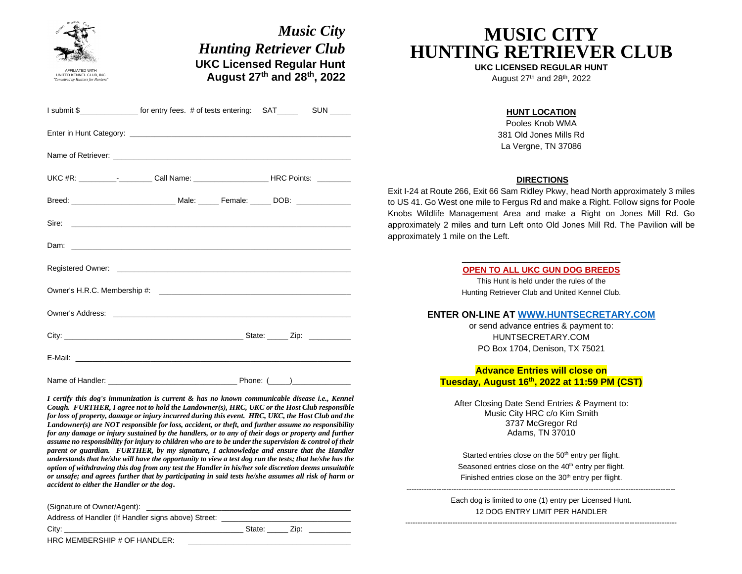| <b>Hunting Retriever Club</b>                                                                       |                                  |                                                                                                                                                                                                                                                                                                                                                                                                                                                                                                                                                                                                                                                                                                                                           |
|-----------------------------------------------------------------------------------------------------|----------------------------------|-------------------------------------------------------------------------------------------------------------------------------------------------------------------------------------------------------------------------------------------------------------------------------------------------------------------------------------------------------------------------------------------------------------------------------------------------------------------------------------------------------------------------------------------------------------------------------------------------------------------------------------------------------------------------------------------------------------------------------------------|
|                                                                                                     | <b>UKC Licensed Regular Hunt</b> |                                                                                                                                                                                                                                                                                                                                                                                                                                                                                                                                                                                                                                                                                                                                           |
| August 27th and 28th, 2022                                                                          |                                  |                                                                                                                                                                                                                                                                                                                                                                                                                                                                                                                                                                                                                                                                                                                                           |
|                                                                                                     |                                  |                                                                                                                                                                                                                                                                                                                                                                                                                                                                                                                                                                                                                                                                                                                                           |
|                                                                                                     |                                  |                                                                                                                                                                                                                                                                                                                                                                                                                                                                                                                                                                                                                                                                                                                                           |
|                                                                                                     |                                  |                                                                                                                                                                                                                                                                                                                                                                                                                                                                                                                                                                                                                                                                                                                                           |
|                                                                                                     |                                  |                                                                                                                                                                                                                                                                                                                                                                                                                                                                                                                                                                                                                                                                                                                                           |
|                                                                                                     |                                  |                                                                                                                                                                                                                                                                                                                                                                                                                                                                                                                                                                                                                                                                                                                                           |
| the control of the control of the control of the control of the control of the control of           |                                  |                                                                                                                                                                                                                                                                                                                                                                                                                                                                                                                                                                                                                                                                                                                                           |
|                                                                                                     |                                  |                                                                                                                                                                                                                                                                                                                                                                                                                                                                                                                                                                                                                                                                                                                                           |
|                                                                                                     |                                  |                                                                                                                                                                                                                                                                                                                                                                                                                                                                                                                                                                                                                                                                                                                                           |
|                                                                                                     |                                  |                                                                                                                                                                                                                                                                                                                                                                                                                                                                                                                                                                                                                                                                                                                                           |
|                                                                                                     |                                  |                                                                                                                                                                                                                                                                                                                                                                                                                                                                                                                                                                                                                                                                                                                                           |
|                                                                                                     |                                  |                                                                                                                                                                                                                                                                                                                                                                                                                                                                                                                                                                                                                                                                                                                                           |
|                                                                                                     |                                  |                                                                                                                                                                                                                                                                                                                                                                                                                                                                                                                                                                                                                                                                                                                                           |
|                                                                                                     |                                  |                                                                                                                                                                                                                                                                                                                                                                                                                                                                                                                                                                                                                                                                                                                                           |
| for any damage or injury sustained by the handlers, or to any of their dogs or property and further |                                  | $a$ assume no responsibility for injury to children who are to be under the supervision $\&$ control of their                                                                                                                                                                                                                                                                                                                                                                                                                                                                                                                                                                                                                             |
|                                                                                                     |                                  | I submit \$ _________________ for entry fees. # of tests entering: SAT__________ SUN ______<br>Owner's Address: the contract of the contract of the contract of the contract of the contract of the contract of the contract of the contract of the contract of the contract of the contract of the contract of the contract<br>I certify this dog's immunization is current & has no known communicable disease i.e., Kennel<br>Cough. FURTHER, I agree not to hold the Landowner(s), HRC, UKC or the Host Club responsible<br>for loss of property, damage or injury incurred during this event. HRC, UKC, the Host Club and the<br>Landowner(s) are NOT responsible for loss, accident, or theft, and further assume no responsibility |

Address of Handler (If Handler signs above) Street:

 $o$  custives  $o$ 

City: \_\_\_\_\_\_\_\_\_\_\_\_\_\_\_\_\_\_\_\_\_\_\_\_\_\_\_\_\_\_\_\_\_\_\_\_\_\_\_\_\_\_\_ State: \_\_\_\_\_ Zip: \_\_\_\_\_\_\_\_\_\_

HRC MEMBERSHIP # OF HANDLER:

# **MUSIC CITY HUNTING RETRIEVER CLUB**

**UKC LICENSED REGULAR HUNT**

August  $27<sup>th</sup>$  and  $28<sup>th</sup>$ ,  $2022$ 

#### **HUNT LOCATION**

Pooles Knob WMA 381 Old Jones Mills Rd La Vergne, TN 37086

#### **DIRECTIONS**

Exit I-24 at Route 266, Exit 66 Sam Ridley Pkwy, head North approximately 3 miles to US 41. Go West one mile to Fergus Rd and make a Right. Follow signs for Poole Knobs Wildlife Management Area and make a Right on Jones Mill Rd. Go approximately 2 miles and turn Left onto Old Jones Mill Rd. The Pavilion will be approximately 1 mile on the Left.

> \_\_\_\_\_\_\_\_\_\_\_\_\_\_\_\_\_\_\_\_\_\_\_\_\_\_\_\_\_\_\_\_\_\_\_\_\_\_ **OPEN TO ALL UKC GUN DOG BREEDS**

This Hunt is held under the rules of the Hunting Retriever Club and United Kennel Club.

#### **ENTER ON-LINE AT WWW.HUNTSECRETARY.COM**

or send advance entries & payment to: HUNTSECRETARY.COM PO Box 1704, Denison, TX 75021

### **Advance Entries will close on Tuesday, August 16th, 2022 at 11:59 PM (CST)**

After Closing Date Send Entries & Payment to: Music City HRC c/o Kim Smith 3737 McGregor Rd Adams, TN 37010

Started entries close on the 50<sup>th</sup> entry per flight. Seasoned entries close on the 40<sup>th</sup> entry per flight. Finished entries close on the 30<sup>th</sup> entry per flight.

 $-$ 

Each dog is limited to one (1) entry per Licensed Hunt. 12 DOG ENTRY LIMIT PER HANDLER

-------------------------------------------------------------------------------------------------------------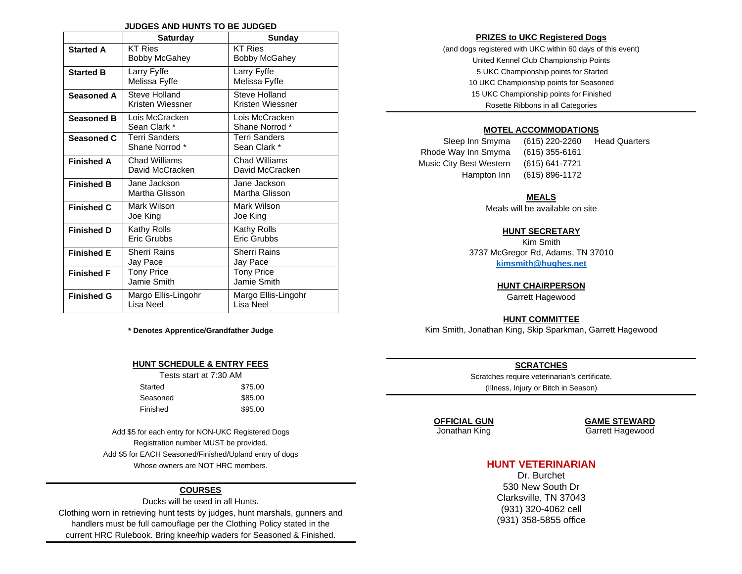#### **JUDGES AND HUNTS TO BE JUDGED**

|                   | <b>Saturday</b>                        | <b>Sunday</b>                          |
|-------------------|----------------------------------------|----------------------------------------|
| <b>Started A</b>  | <b>KT Ries</b><br><b>Bobby McGahey</b> | <b>KT Ries</b><br><b>Bobby McGahey</b> |
| <b>Started B</b>  | Larry Fyffe<br>Melissa Fyffe           | Larry Fyffe<br>Melissa Fyffe           |
| Seasoned A        | Steve Holland<br>Kristen Wiessner      | Steve Holland<br>Kristen Wiessner      |
| <b>Seasoned B</b> | Lois McCracken<br>Sean Clark *         | Lois McCracken<br>Shane Norrod *       |
| Seasoned C        | Terri Sanders<br>Shane Norrod *        | <b>Terri Sanders</b><br>Sean Clark *   |
| <b>Finished A</b> | Chad Williams<br>David McCracken       | Chad Williams<br>David McCracken       |
| <b>Finished B</b> | Jane Jackson<br>Martha Glisson         | Jane Jackson<br>Martha Glisson         |
| <b>Finished C</b> | Mark Wilson<br>Joe King                | Mark Wilson<br>Joe King                |
| <b>Finished D</b> | Kathy Rolls<br>Eric Grubbs             | Kathy Rolls<br>Eric Grubbs             |
| <b>Finished E</b> | Sherri Rains<br>Jay Pace               | Sherri Rains<br>Jay Pace               |
| <b>Finished F</b> | <b>Tony Price</b><br>Jamie Smith       | <b>Tony Price</b><br>Jamie Smith       |
| <b>Finished G</b> | Margo Ellis-Lingohr<br>Lisa Neel       | Margo Ellis-Lingohr<br>Lisa Neel       |

**\* Denotes Apprentice/Grandfather Judge**

#### **HUNT SCHEDULE & ENTRY FEES**

| Tests start at 7:30 AM |         |
|------------------------|---------|
| Started                | \$75.00 |
| Seasoned               | \$85.00 |
| Finished               | \$95.00 |

Add \$5 for each entry for NON-UKC Registered Dogs Registration number MUST be provided. Add \$5 for EACH Seasoned/Finished/Upland entry of dogs Whose owners are NOT HRC members.

#### **COURSES**

Ducks will be used in all Hunts. Clothing worn in retrieving hunt tests by judges, hunt marshals, gunners and handlers must be full camouflage per the Clothing Policy stated in the current HRC Rulebook. Bring knee/hip waders for Seasoned & Finished.

#### **PRIZES to UKC Registered Dogs**

(and dogs registered with UKC within 60 days of this event) United Kennel Club Championship Points 5 UKC Championship points for Started 10 UKC Championship points for Seasoned 15 UKC Championship points for Finished Rosette Ribbons in all Categories

#### **MOTEL ACCOMMODATIONS**

Rhode Way Inn Smyrna (615) 355-6161 Music City Best Western (615) 641-7721 Hampton Inn (615) 896-1172

Sleep Inn Smyrna (615) 220-2260 Head Quarters

#### **MEALS**

Meals will be available on site

#### **HUNT SECRETARY**

Kim Smith 3737 McGregor Rd, Adams, TN 37010 **[kimsmith@hughes.net](mailto:kimsmith@hughes.net)**

#### **HUNT CHAIRPERSON**

Garrett Hagewood

#### **HUNT COMMITTEE**

Kim Smith, Jonathan King, Skip Sparkman, Garrett Hagewood

#### **SCRATCHES**

Scratches require veterinarian's certificate. (Illness, Injury or Bitch in Season)

**OFFICIAL GUN GAME STEWARD**

Jonathan King Garrett Hagewood

### **HUNT VETERINARIAN**

Dr. Burchet 530 New South Dr Clarksville, TN 37043 (931) 320-4062 cell (931) 358-5855 office